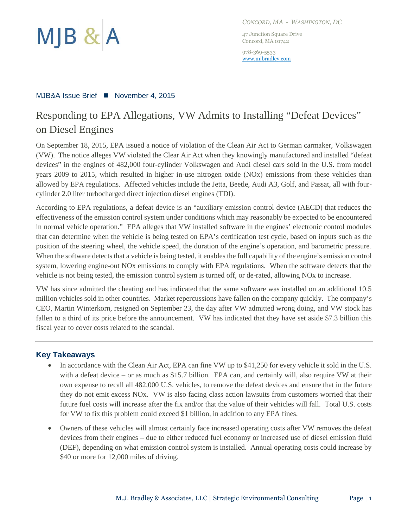

*CONCORD, MA - WASHINGTON, DC*

47 Junction Square Drive Concord, MA 01742

978-369-5533 [www.mjbradley.com](http://www.mjbradley.com/)

#### MJB&A Issue Brief ■ November 4, 2015

# Responding to EPA Allegations, VW Admits to Installing "Defeat Devices" on Diesel Engines

On September 18, 2015, EPA issued a notice of violation of the Clean Air Act to German carmaker, Volkswagen (VW). The notice alleges VW violated the Clear Air Act when they knowingly manufactured and installed "defeat devices" in the engines of 482,000 four-cylinder Volkswagen and Audi diesel cars sold in the U.S. from model years 2009 to 2015, which resulted in higher in-use nitrogen oxide (NOx) emissions from these vehicles than allowed by EPA regulations. Affected vehicles include the Jetta, Beetle, Audi A3, Golf, and Passat, all with fourcylinder 2.0 liter turbocharged direct injection diesel engines (TDI).

According to EPA regulations, a defeat device is an "auxiliary emission control device (AECD) that reduces the effectiveness of the emission control system under conditions which may reasonably be expected to be encountered in normal vehicle operation." EPA alleges that VW installed software in the engines' electronic control modules that can determine when the vehicle is being tested on EPA's certification test cycle, based on inputs such as the position of the steering wheel, the vehicle speed, the duration of the engine's operation, and barometric pressure. When the software detects that a vehicle is being tested, it enables the full capability of the engine's emission control system, lowering engine-out NOx emissions to comply with EPA regulations. When the software detects that the vehicle is not being tested, the emission control system is turned off, or de-rated, allowing NOx to increase.

VW has since admitted the cheating and has indicated that the same software was installed on an additional 10.5 million vehicles sold in other countries. Market repercussions have fallen on the company quickly. The company's CEO, Martin Winterkorn, resigned on September 23, the day after VW admitted wrong doing, and VW stock has fallen to a third of its price before the announcement. VW has indicated that they have set aside \$7.3 billion this fiscal year to cover costs related to the scandal.

## **Key Takeaways**

- In accordance with the Clean Air Act, EPA can fine VW up to \$41,250 for every vehicle it sold in the U.S. with a defeat device – or as much as \$15.7 billion. EPA can, and certainly will, also require VW at their own expense to recall all 482,000 U.S. vehicles, to remove the defeat devices and ensure that in the future they do not emit excess NOx. VW is also facing class action lawsuits from customers worried that their future fuel costs will increase after the fix and/or that the value of their vehicles will fall. Total U.S. costs for VW to fix this problem could exceed \$1 billion, in addition to any EPA fines.
- Owners of these vehicles will almost certainly face increased operating costs after VW removes the defeat devices from their engines – due to either reduced fuel economy or increased use of diesel emission fluid (DEF), depending on what emission control system is installed. Annual operating costs could increase by \$40 or more for 12,000 miles of driving.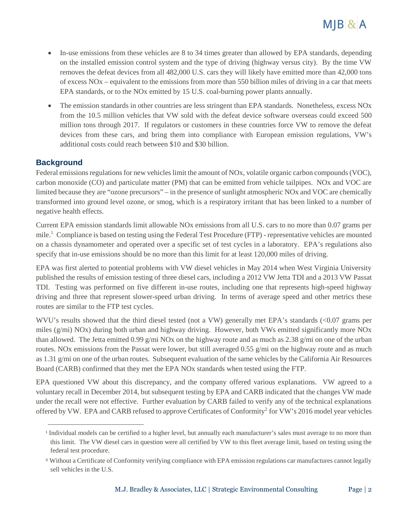

- In-use emissions from these vehicles are 8 to 34 times greater than allowed by EPA standards, depending on the installed emission control system and the type of driving (highway versus city). By the time VW removes the defeat devices from all 482,000 U.S. cars they will likely have emitted more than 42,000 tons of excess NOx – equivalent to the emissions from more than 550 billion miles of driving in a car that meets EPA standards, or to the NOx emitted by 15 U.S. coal-burning power plants annually.
- The emission standards in other countries are less stringent than EPA standards. Nonetheless, excess NOx from the 10.5 million vehicles that VW sold with the defeat device software overseas could exceed 500 million tons through 2017. If regulators or customers in these countries force VW to remove the defeat devices from these cars, and bring them into compliance with European emission regulations, VW's additional costs could reach between \$10 and \$30 billion.

## **Background**

 $\overline{a}$ 

Federal emissions regulations for new vehicles limit the amount of NOx, volatile organic carbon compounds (VOC), carbon monoxide (CO) and particulate matter (PM) that can be emitted from vehicle tailpipes. NOx and VOC are limited because they are "ozone precursors" – in the presence of sunlight atmospheric NOx and VOC are chemically transformed into ground level ozone, or smog, which is a respiratory irritant that has been linked to a number of negative health effects.

Current EPA emission standards limit allowable NOx emissions from all U.S. cars to no more than 0.07 grams per mile.<sup>1</sup> Compliance is based on testing using the Federal Test Procedure (FTP) - representative vehicles are mounted on a chassis dynamometer and operated over a specific set of test cycles in a laboratory. EPA's regulations also specify that in-use emissions should be no more than this limit for at least 120,000 miles of driving.

EPA was first alerted to potential problems with VW diesel vehicles in May 2014 when West Virginia University published the results of emission testing of three diesel cars, including a 2012 VW Jetta TDI and a 2013 VW Passat TDI. Testing was performed on five different in-use routes, including one that represents high-speed highway driving and three that represent slower-speed urban driving. In terms of average speed and other metrics these routes are similar to the FTP test cycles.

WVU's results showed that the third diesel tested (not a VW) generally met EPA's standards (<0.07 grams per miles (g/mi) NOx) during both urban and highway driving. However, both VWs emitted significantly more NOx than allowed. The Jetta emitted 0.99 g/mi NOx on the highway route and as much as 2.38 g/mi on one of the urban routes. NOx emissions from the Passat were lower, but still averaged 0.55 g/mi on the highway route and as much as 1.31 g/mi on one of the urban routes. Subsequent evaluation of the same vehicles by the California Air Resources Board (CARB) confirmed that they met the EPA NOx standards when tested using the FTP.

EPA questioned VW about this discrepancy, and the company offered various explanations. VW agreed to a voluntary recall in December 2014, but subsequent testing by EPA and CARB indicated that the changes VW made under the recall were not effective. Further evaluation by CARB failed to verify any of the technical explanations offered by VW. EPA and CARB refused to approve Certificates of Conformity<sup>2</sup> for VW's 2016 model year vehicles

<sup>&</sup>lt;sup>1</sup> Individual models can be certified to a higher level, but annually each manufacturer's sales must average to no more than this limit. The VW diesel cars in question were all certified by VW to this fleet average limit, based on testing using the federal test procedure.

<sup>&</sup>lt;sup>2</sup> Without a Certificate of Conformity verifying compliance with EPA emission regulations car manufactures cannot legally sell vehicles in the U.S.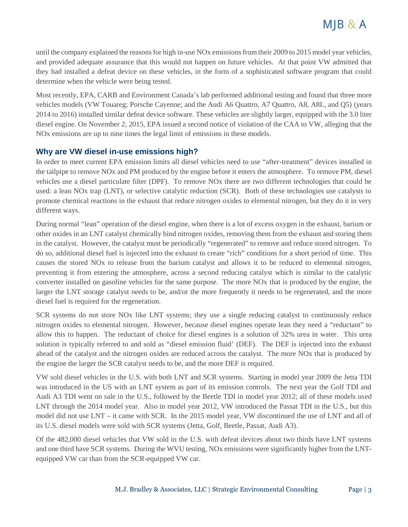

until the company explained the reasons for high in-use NOx emissions from their 2009 to 2015 model year vehicles, and provided adequate assurance that this would not happen on future vehicles. At that point VW admitted that they had installed a defeat device on these vehicles, in the form of a sophisticated software program that could determine when the vehicle were being tested.

Most recently, EPA, CARB and Environment Canada's lab performed additional testing and found that three more vehicles models (VW Touareg; Porsche Cayenne; and the Audi A6 Quattro, A7 Quattro, A8, A8L, and Q5) (years 2014 to 2016) installed similar defeat device software. These vehicles are slightly larger, equipped with the 3.0 liter diesel engine. On November 2, 2015, EPA issued a second notice of violation of the CAA to VW, alleging that the NOx emissions are up to nine times the legal limit of emissions in these models.

## **Why are VW diesel in-use emissions high?**

In order to meet current EPA emission limits all diesel vehicles need to use "after-treatment" devices installed in the tailpipe to remove NOx and PM produced by the engine before it enters the atmosphere. To remove PM, diesel vehicles use a diesel particulate filter (DPF). To remove NOx there are two different technologies that could be used: a lean NOx trap (LNT), or selective catalytic reduction (SCR). Both of these technologies use catalysts to promote chemical reactions in the exhaust that reduce nitrogen oxides to elemental nitrogen, but they do it in very different ways.

During normal "lean" operation of the diesel engine, when there is a lot of excess oxygen in the exhaust, barium or other oxides in an LNT catalyst chemically bind nitrogen oxides, removing them from the exhaust and storing them in the catalyst. However, the catalyst must be periodically "regenerated" to remove and reduce stored nitrogen. To do so, additional diesel fuel is injected into the exhaust to create "rich" conditions for a short period of time. This causes the stored NOx to release from the barium catalyst and allows it to be reduced to elemental nitrogen, preventing it from entering the atmosphere, across a second reducing catalyst which is similar to the catalytic converter installed on gasoline vehicles for the same purpose. The more NOx that is produced by the engine, the larger the LNT storage catalyst needs to be, and/or the more frequently it needs to be regenerated, and the more diesel fuel is required for the regeneration.

SCR systems do not store NOx like LNT systems; they use a single reducing catalyst to continuously reduce nitrogen oxides to elemental nitrogen. However, because diesel engines operate lean they need a "reductant" to allow this to happen. The reductant of choice for diesel engines is a solution of 32% urea in water. This urea solution is typically referred to and sold as "diesel emission fluid' (DEF). The DEF is injected into the exhaust ahead of the catalyst and the nitrogen oxides are reduced across the catalyst. The more NOx that is produced by the engine the larger the SCR catalyst needs to be, and the more DEF is required.

VW sold diesel vehicles in the U.S. with both LNT and SCR systems. Starting in model year 2009 the Jetta TDI was introduced in the US with an LNT system as part of its emission controls. The next year the Golf TDI and Audi A3 TDI went on sale in the U.S., followed by the Beetle TDI in model year 2012; all of these models used LNT through the 2014 model year. Also in model year 2012, VW introduced the Passat TDI in the U.S., but this model did not use LNT – it came with SCR. In the 2015 model year, VW discontinued the use of LNT and all of its U.S. diesel models were sold with SCR systems (Jetta, Golf, Beetle, Passat, Audi A3).

Of the 482,000 diesel vehicles that VW sold in the U.S. with defeat devices about two thirds have LNT systems and one third have SCR systems. During the WVU testing, NOx emissions were significantly higher from the LNTequipped VW car than from the SCR-equipped VW car.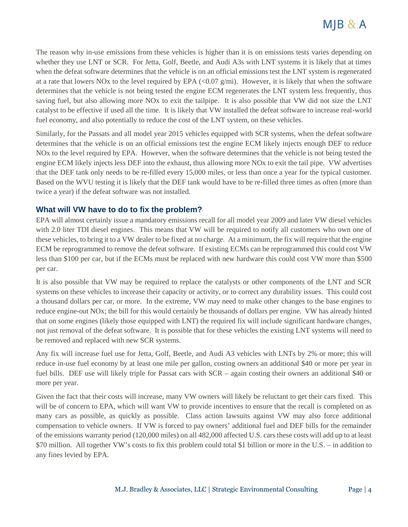

The reason why in-use emissions from these vehicles is higher than it is on emissions tests varies depending on whether they use LNT or SCR. For Jetta, Golf, Beetle, and Audi A3s with LNT systems it is likely that at times when the defeat software determines that the vehicle is on an official emissions test the LNT system is regenerated at a rate that lowers NOx to the level required by EPA  $\langle 0.07 \text{ g/ml} \rangle$ . However, it is likely that when the software determines that the vehicle is not being tested the engine ECM regenerates the LNT system less frequently, thus saving fuel, but also allowing more NOx to exit the tailpipe. It is also possible that VW did not size the LNT catalyst to be effective if used all the time. It is likely that VW installed the defeat software to increase real-world fuel economy, and also potentially to reduce the cost of the LNT system, on these vehicles.

Similarly, for the Passats and all model year 2015 vehicles equipped with SCR systems, when the defeat software determines that the vehicle is on an official emissions test the engine ECM likely injects enough DEF to reduce NOx to the level required by EPA. However, when the software determines that the vehicle is not being tested the engine ECM likely injects less DEF into the exhaust, thus allowing more NOx to exit the tail pipe. VW advertises that the DEF tank only needs to be re-filled every 15,000 miles, or less than once a year for the typical customer. Based on the WVU testing it is likely that the DEF tank would have to be re-filled three times as often (more than twice a year) if the defeat software was not installed.

#### **What will VW have to do to fix the problem?**

EPA will almost certainly issue a mandatory emissions recall for all model year 2009 and later VW diesel vehicles with 2.0 liter TDI diesel engines. This means that VW will be required to notify all customers who own one of these vehicles, to bring it to a VW dealer to be fixed at no charge. At a minimum, the fix will require that the engine ECM be reprogrammed to remove the defeat software. If existing ECMs can be reprogrammed this could cost VW less than \$100 per car, but if the ECMs must be replaced with new hardware this could cost VW more than \$500 per car.

It is also possible that VW may be required to replace the catalysts or other components of the LNT and SCR systems on these vehicles to increase their capacity or activity, or to correct any durability issues. This could cost a thousand dollars per car, or more. In the extreme, VW may need to make other changes to the base engines to reduce engine-out NOx; the bill for this would certainly be thousands of dollars per engine. VW has already hinted that on some engines (likely those equipped with LNT) the required fix will include significant hardware changes, not just removal of the defeat software. It is possible that for these vehicles the existing LNT systems will need to be removed and replaced with new SCR systems.

Any fix will increase fuel use for Jetta, Golf, Beetle, and Audi A3 vehicles with LNTs by 2% or more; this will reduce in-use fuel economy by at least one mile per gallon, costing owners an additional \$40 or more per year in fuel bills. DEF use will likely triple for Passat cars with SCR – again costing their owners an additional \$40 or more per year.

Given the fact that their costs will increase, many VW owners will likely be reluctant to get their cars fixed. This will be of concern to EPA, which will want VW to provide incentives to ensure that the recall is completed on as many cars as possible, as quickly as possible. Class action lawsuits against VW may also force additional compensation to vehicle owners. If VW is forced to pay owners' additional fuel and DEF bills for the remainder of the emissions warranty period (120,000 miles) on all 482,000 affected U.S. cars these costs will add up to at least \$70 million. All together VW's costs to fix this problem could total \$1 billion or more in the U.S. – in addition to any fines levied by EPA.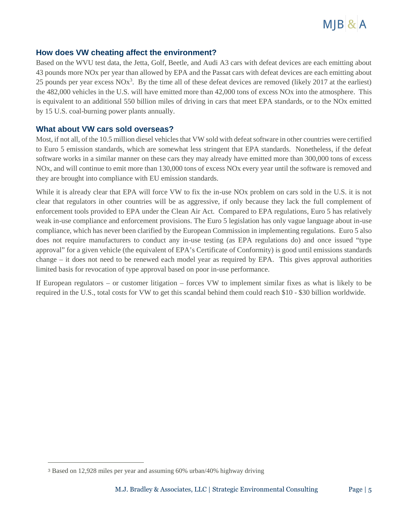

#### **How does VW cheating affect the environment?**

Based on the WVU test data, the Jetta, Golf, Beetle, and Audi A3 cars with defeat devices are each emitting about 43 pounds more NOx per year than allowed by EPA and the Passat cars with defeat devices are each emitting about 25 pounds per year excess  $NOx^3$ . By the time all of these defeat devices are removed (likely 2017 at the earliest) the 482,000 vehicles in the U.S. will have emitted more than 42,000 tons of excess NOx into the atmosphere. This is equivalent to an additional 550 billion miles of driving in cars that meet EPA standards, or to the NOx emitted by 15 U.S. coal-burning power plants annually.

#### **What about VW cars sold overseas?**

Most, if not all, of the 10.5 million diesel vehicles that VW sold with defeat software in other countries were certified to Euro 5 emission standards, which are somewhat less stringent that EPA standards. Nonetheless, if the defeat software works in a similar manner on these cars they may already have emitted more than 300,000 tons of excess NOx, and will continue to emit more than 130,000 tons of excess NOx every year until the software is removed and they are brought into compliance with EU emission standards.

While it is already clear that EPA will force VW to fix the in-use NOx problem on cars sold in the U.S. it is not clear that regulators in other countries will be as aggressive, if only because they lack the full complement of enforcement tools provided to EPA under the Clean Air Act. Compared to EPA regulations, Euro 5 has relatively weak in-use compliance and enforcement provisions. The Euro 5 legislation has only vague language about in-use compliance, which has never been clarified by the European Commission in implementing regulations. Euro 5 also does not require manufacturers to conduct any in-use testing (as EPA regulations do) and once issued "type approval" for a given vehicle (the equivalent of EPA's Certificate of Conformity) is good until emissions standards change – it does not need to be renewed each model year as required by EPA. This gives approval authorities limited basis for revocation of type approval based on poor in-use performance.

If European regulators – or customer litigation – forces VW to implement similar fixes as what is likely to be required in the U.S., total costs for VW to get this scandal behind them could reach \$10 - \$30 billion worldwide.

 $\overline{a}$ 

<sup>3</sup> Based on 12,928 miles per year and assuming 60% urban/40% highway driving